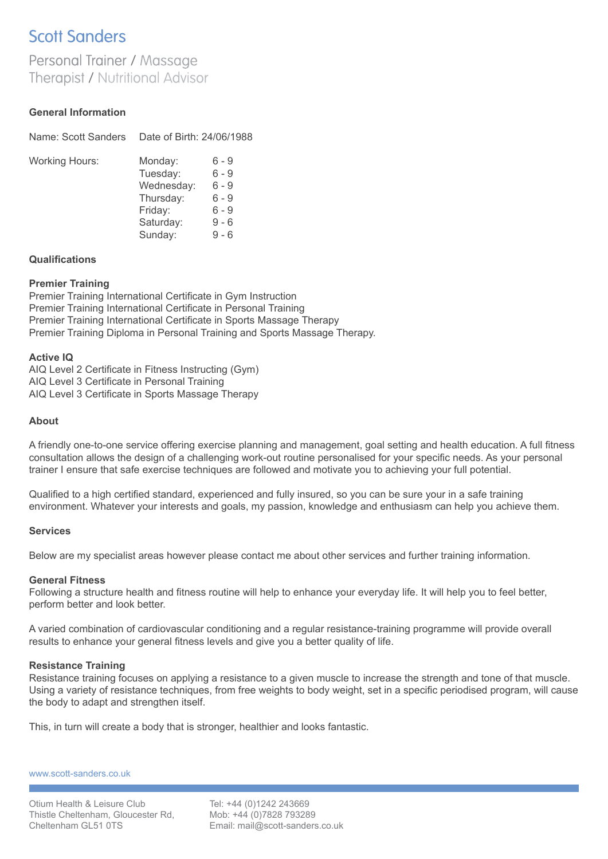# **Scott Sanders**

# Personal Trainer / Massage **Therapist / Nutritional Advisor**

# **General Information**

| Name: Scott Sanders   | Date of Birth: 24/06/1988                                                         |                                                                 |
|-----------------------|-----------------------------------------------------------------------------------|-----------------------------------------------------------------|
| <b>Working Hours:</b> | Monday:<br>Tuesday:<br>Wednesday:<br>Thursday:<br>Friday:<br>Saturday:<br>Sunday: | 6 - 9<br>6 - 9<br>$6 - 9$<br>ճ - 9<br>6 - 9<br>9 - 6<br>$9 - 6$ |

# **Qualifications**

#### **Premier Training**

Premier Training International Certificate in Gym Instruction Premier Training International Certificate in Personal Training Premier Training International Certificate in Sports Massage Therapy Premier Training Diploma in Personal Training and Sports Massage Therapy.

#### **Active IQ**

AIQ Level 2 Certificate in Fitness Instructing (Gym) AIQ Level 3 Certificate in Personal Training AIQ Level 3 Certificate in Sports Massage Therapy

# **About**

A friendly one-to-one service offering exercise planning and management, goal setting and health education. A full fitness consultation allows the design of a challenging work-out routine personalised for your specific needs. As your personal trainer I ensure that safe exercise techniques are followed and motivate you to achieving your full potential.

Qualified to a high certified standard, experienced and fully insured, so you can be sure your in a safe training environment. Whatever your interests and goals, my passion, knowledge and enthusiasm can help you achieve them.

# **Services**

Below are my specialist areas however please contact me about other services and further training information.

# **General Fitness**

Following a structure health and fitness routine will help to enhance your everyday life. It will help you to feel better, perform better and look better.

A varied combination of cardiovascular conditioning and a regular resistance-training programme will provide overall results to enhance your general fitness levels and give you a better quality of life.

# **Resistance Training**

Resistance training focuses on applying a resistance to a given muscle to increase the strength and tone of that muscle. Using a variety of resistance techniques, from free weights to body weight, set in a specific periodised program, will cause the body to adapt and strengthen itself.

This, in turn will create a body that is stronger, healthier and looks fantastic.

www.scott-sanders.co.uk

Tel: +44 (0)1242 243669 Mob: +44 (0)7828 793289 Email: mail@scott-sanders.co.uk